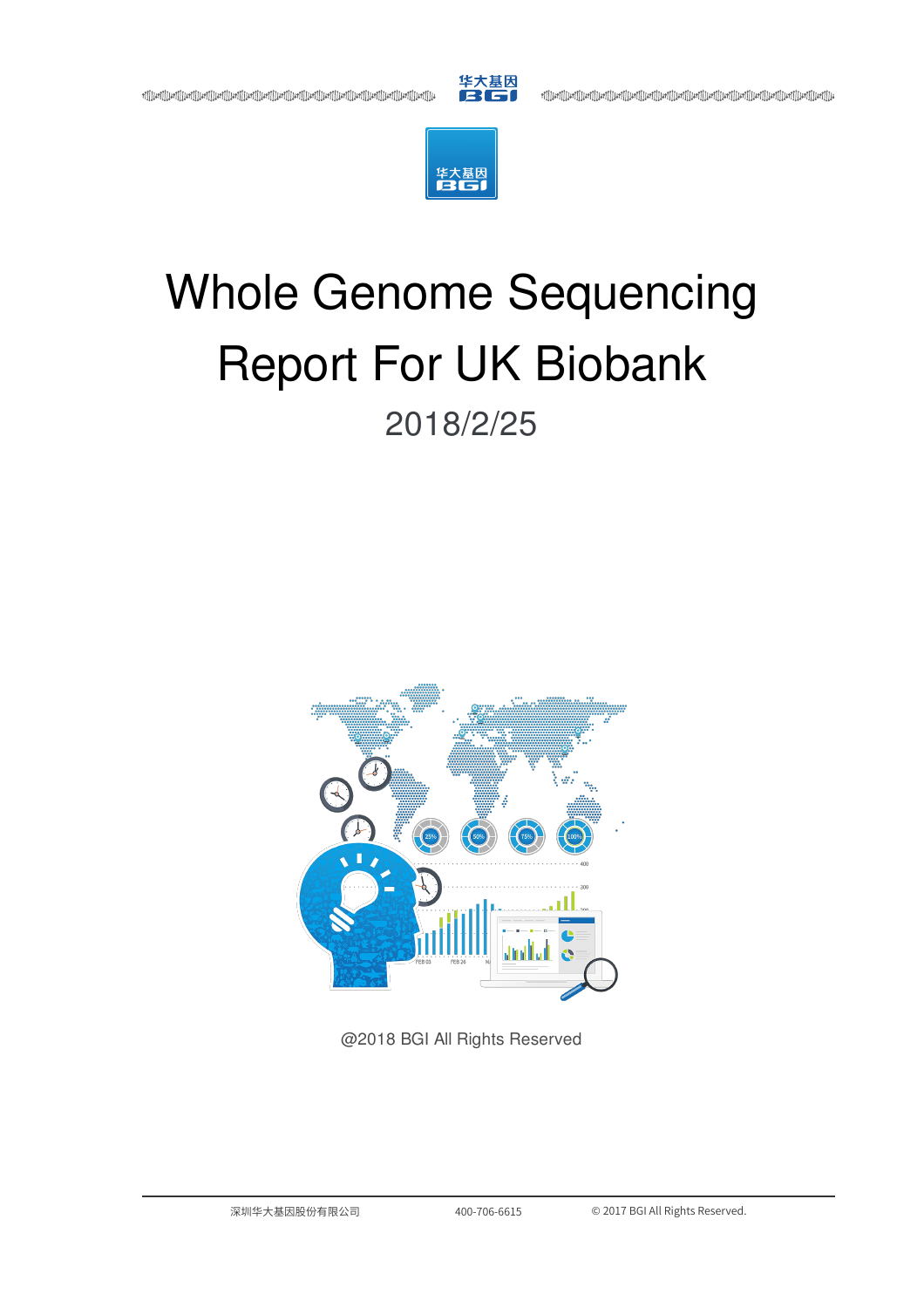

+][][Lief][[Lief][[Lief][[Lief][[Lief][[Lief][[Lief][[Lief][[Lief][[Lief][[Lief][[Lief][[Lief][[Lief][[Lief][[<br>|الجزا[|[Lief][[Lief][[Lief][[Lief][[Lief][[Lief][[Lief][[Lief][[Lief][[Lief][[Lief][[Lief][[Lief][[Lief]



# Whole Genome Sequencing Report For UK Biobank 2018/2/25



@2018 BGI All Rights Reserved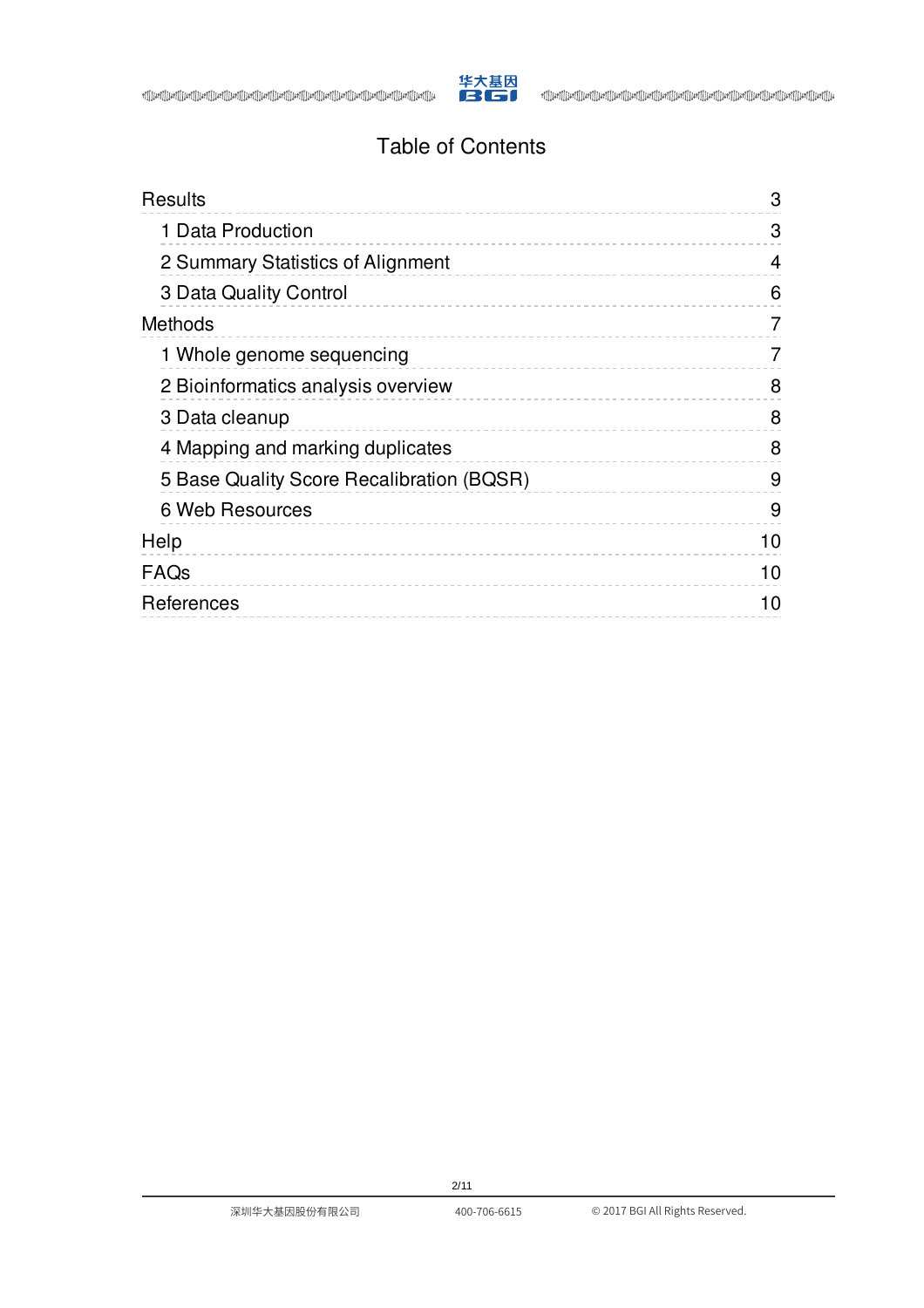

# Table of Contents

| Results                                   | 3  |
|-------------------------------------------|----|
| 1 Data Production                         | 3  |
| 2 Summary Statistics of Alignment         | 4  |
| 3 Data Quality Control                    | 6  |
| <b>Methods</b>                            | 7  |
| 1 Whole genome sequencing                 | 7  |
| 2 Bioinformatics analysis overview        | 8  |
| 3 Data cleanup                            | 8  |
| 4 Mapping and marking duplicates          | 8  |
| 5 Base Quality Score Recalibration (BQSR) | 9  |
| 6 Web Resources                           | 9  |
| Help                                      | 10 |
| FAQs                                      | 10 |
| References                                | 10 |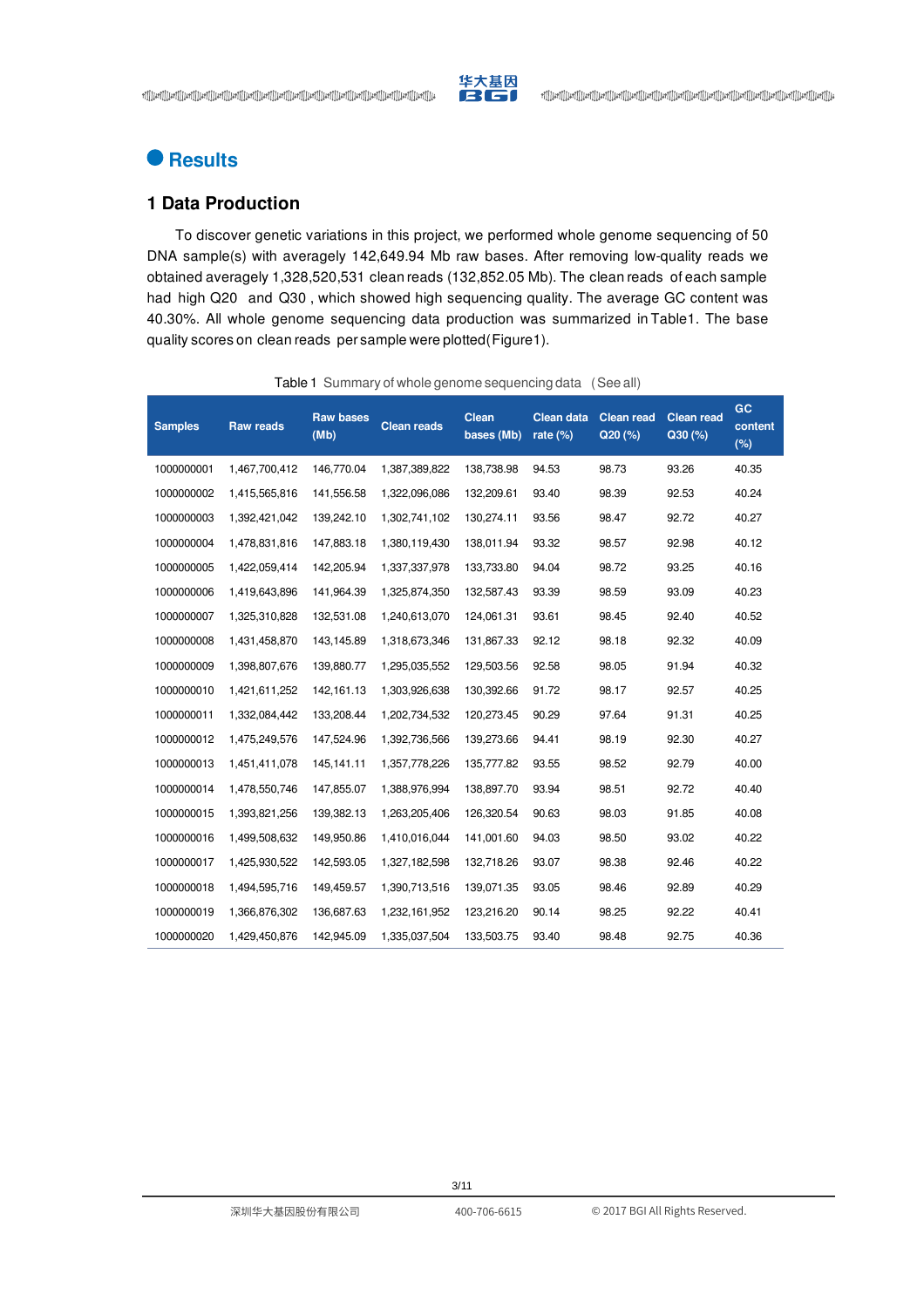

# <span id="page-2-0"></span>**Results**

# <span id="page-2-1"></span>**1 Data Production**

To discover genetic variations in this project, we performed whole genome sequencing of 50 DNA sample(s) with averagely 142,649.94 Mb raw bases. After removing low-quality reads we obtained averagely 1,328,520,531 clean reads (132,852.05 Mb). The clean reads of each sample had high Q20 and Q30 , which showed high sequencing quality. The average GC content was 40.30%. All whole genome sequencing data production was summarized in [Table1.](#page-2-2) The base quality scores on clean reads per sample were plotted[\(Figure1](#page-2-3)).

<span id="page-2-3"></span><span id="page-2-2"></span>

| <b>Samples</b> | <b>Raw reads</b> | <b>Raw bases</b><br>(Mb) | <b>Clean reads</b> | <b>Clean</b><br>bases (Mb) | <b>Clean data</b><br>rate $(\%)$ | <b>Clean read</b><br>Q20(%) | <b>Clean read</b><br>Q30(%) | GC<br>content<br>(%) |
|----------------|------------------|--------------------------|--------------------|----------------------------|----------------------------------|-----------------------------|-----------------------------|----------------------|
| 1000000001     | 1,467,700,412    | 146,770.04               | 1,387,389,822      | 138,738.98                 | 94.53                            | 98.73                       | 93.26                       | 40.35                |
| 1000000002     | 1,415,565,816    | 141,556.58               | 1,322,096,086      | 132,209.61                 | 93.40                            | 98.39                       | 92.53                       | 40.24                |
| 1000000003     | 1,392,421,042    | 139,242.10               | 1,302,741,102      | 130,274.11                 | 93.56                            | 98.47                       | 92.72                       | 40.27                |
| 1000000004     | 1,478,831,816    | 147,883.18               | 1,380,119,430      | 138,011.94                 | 93.32                            | 98.57                       | 92.98                       | 40.12                |
| 1000000005     | 1,422,059,414    | 142,205.94               | 1,337,337,978      | 133,733.80                 | 94.04                            | 98.72                       | 93.25                       | 40.16                |
| 1000000006     | 1,419,643,896    | 141,964.39               | 1,325,874,350      | 132,587.43                 | 93.39                            | 98.59                       | 93.09                       | 40.23                |
| 1000000007     | 1,325,310,828    | 132,531.08               | 1,240,613,070      | 124,061.31                 | 93.61                            | 98.45                       | 92.40                       | 40.52                |
| 1000000008     | 1,431,458,870    | 143,145.89               | 1,318,673,346      | 131,867.33                 | 92.12                            | 98.18                       | 92.32                       | 40.09                |
| 1000000009     | 1,398,807,676    | 139,880.77               | 1,295,035,552      | 129,503.56                 | 92.58                            | 98.05                       | 91.94                       | 40.32                |
| 1000000010     | 1,421,611,252    | 142,161.13               | 1,303,926,638      | 130,392.66                 | 91.72                            | 98.17                       | 92.57                       | 40.25                |
| 1000000011     | 1,332,084,442    | 133,208.44               | 1,202,734,532      | 120,273.45                 | 90.29                            | 97.64                       | 91.31                       | 40.25                |
| 1000000012     | 1,475,249,576    | 147,524.96               | 1,392,736,566      | 139,273.66                 | 94.41                            | 98.19                       | 92.30                       | 40.27                |
| 1000000013     | 1,451,411,078    | 145,141.11               | 1,357,778,226      | 135,777.82                 | 93.55                            | 98.52                       | 92.79                       | 40.00                |
| 1000000014     | 1,478,550,746    | 147,855.07               | 1,388,976,994      | 138,897.70                 | 93.94                            | 98.51                       | 92.72                       | 40.40                |
| 1000000015     | 1,393,821,256    | 139,382.13               | 1,263,205,406      | 126,320.54                 | 90.63                            | 98.03                       | 91.85                       | 40.08                |
| 1000000016     | 1,499,508,632    | 149,950.86               | 1,410,016,044      | 141,001.60                 | 94.03                            | 98.50                       | 93.02                       | 40.22                |
| 1000000017     | 1,425,930,522    | 142,593.05               | 1,327,182,598      | 132,718.26                 | 93.07                            | 98.38                       | 92.46                       | 40.22                |
| 1000000018     | 1,494,595,716    | 149,459.57               | 1,390,713,516      | 139,071.35                 | 93.05                            | 98.46                       | 92.89                       | 40.29                |
| 1000000019     | 1,366,876,302    | 136,687.63               | 1,232,161,952      | 123,216.20                 | 90.14                            | 98.25                       | 92.22                       | 40.41                |
| 1000000020     | 1,429,450,876    | 142,945.09               | 1,335,037,504      | 133,503.75                 | 93.40                            | 98.48                       | 92.75                       | 40.36                |

#### Table 1 Summary of whole genome sequencing data (See all)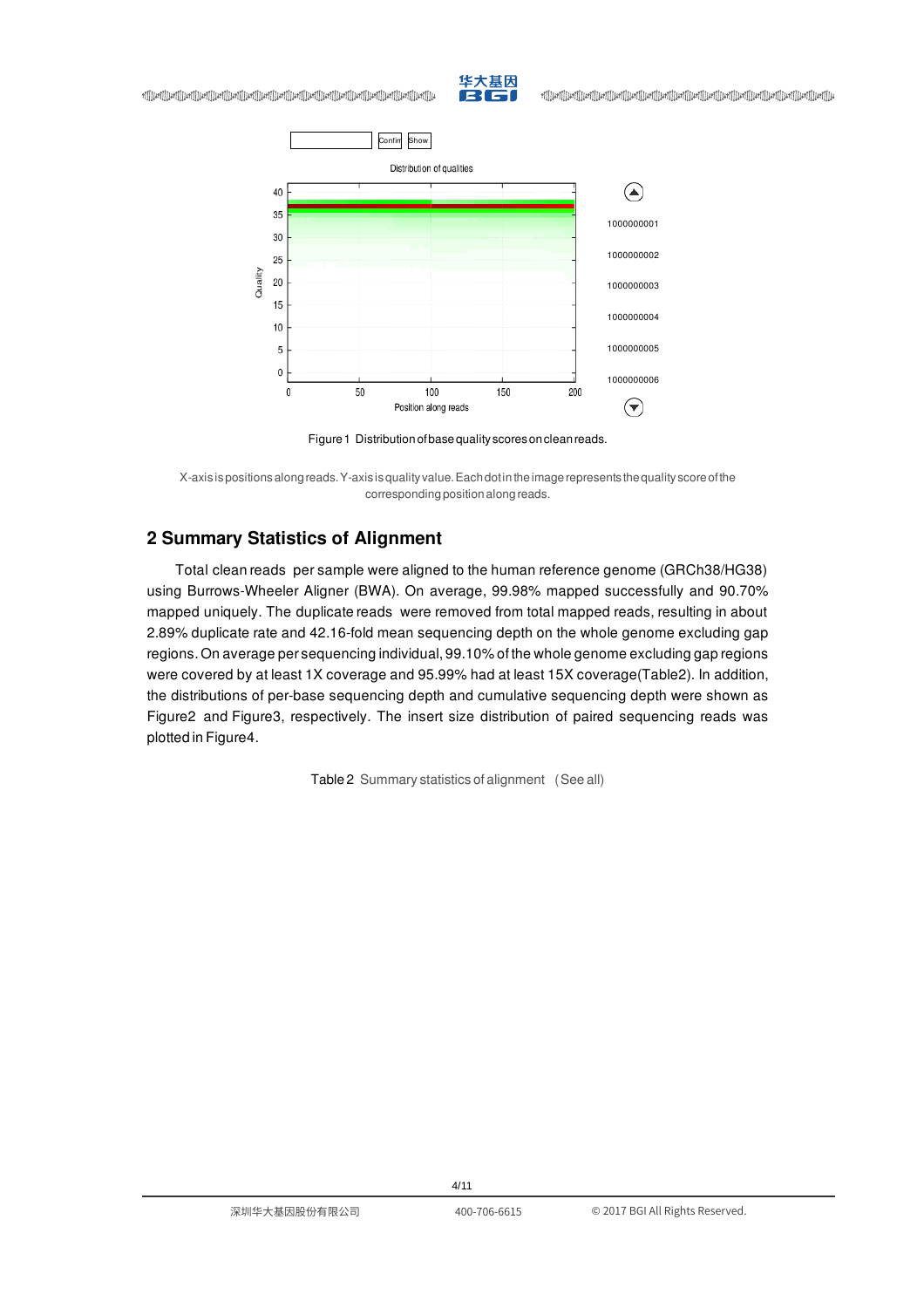



华大基因

Figure 1 Distribution of base quality scores on clean reads.

X-axis ispositionsalongreads.Y-axis isquality value.Eachdotintheimagerepresents thequality scoreofthe corresponding position along reads.

# <span id="page-3-0"></span>**2 Summary Statistics of Alignment**

Quality

Total clean reads per sample were aligned to the human reference genome (GRCh38/HG38) using Burrows-Wheeler Aligner (BWA). On average, 99.98% mapped successfully and 90.70% mapped uniquely. The duplicate reads were removed from total mapped reads, resulting in about 2.89% duplicate rate and 42.16-fold mean sequencing depth on the whole genome excluding gap regions. On average per sequencing individual, 99.10% of the whole genome excluding gap regions were covered by at least 1X coverage and 95.99% had at least 15X coverage[\(Table2](#page-3-1)). In addition, the distributions of per-base sequencing depth and cumulative sequencing depth were shown as [Figure2](#page-4-0) and [Figure3](#page-4-1), respectively. The insert size distribution of paired sequencing reads was plotted in [Figure4](#page-5-1).

<span id="page-3-1"></span>Table 2 Summary statistics of alignment (See all)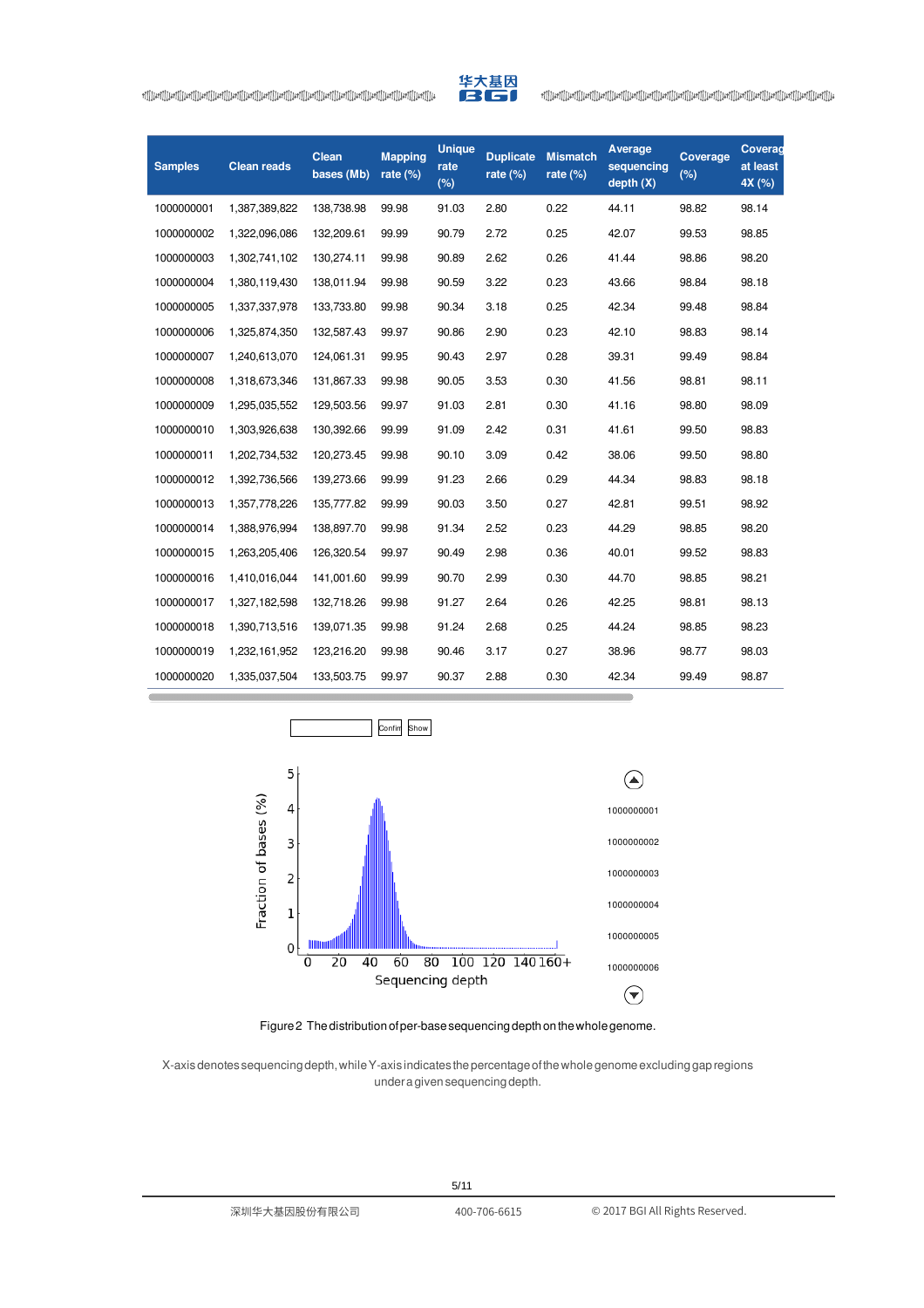

| <b>Samples</b> | <b>Clean reads</b> | Clean<br>bases (Mb) | <b>Mapping</b><br>rate $(\%)$ | <b>Unique</b><br>rate<br>(%) | <b>Duplicate</b><br>rate $(\%)$ | <b>Mismatch</b><br>rate $(\%)$ | Average<br>sequencing<br>depth(X) | Coverage<br>(% ) | Coverag<br>at least<br>4X (%) |
|----------------|--------------------|---------------------|-------------------------------|------------------------------|---------------------------------|--------------------------------|-----------------------------------|------------------|-------------------------------|
| 1000000001     | 1,387,389,822      | 138,738.98          | 99.98                         | 91.03                        | 2.80                            | 0.22                           | 44.11                             | 98.82            | 98.14                         |
| 1000000002     | 1,322,096,086      | 132,209.61          | 99.99                         | 90.79                        | 2.72                            | 0.25                           | 42.07                             | 99.53            | 98.85                         |
| 1000000003     | 1,302,741,102      | 130,274.11          | 99.98                         | 90.89                        | 2.62                            | 0.26                           | 41.44                             | 98.86            | 98.20                         |
| 1000000004     | 1,380,119,430      | 138,011.94          | 99.98                         | 90.59                        | 3.22                            | 0.23                           | 43.66                             | 98.84            | 98.18                         |
| 1000000005     | 1,337,337,978      | 133,733.80          | 99.98                         | 90.34                        | 3.18                            | 0.25                           | 42.34                             | 99.48            | 98.84                         |
| 1000000006     | 1,325,874,350      | 132,587.43          | 99.97                         | 90.86                        | 2.90                            | 0.23                           | 42.10                             | 98.83            | 98.14                         |
| 1000000007     | 1,240,613,070      | 124,061.31          | 99.95                         | 90.43                        | 2.97                            | 0.28                           | 39.31                             | 99.49            | 98.84                         |
| 1000000008     | 1,318,673,346      | 131,867.33          | 99.98                         | 90.05                        | 3.53                            | 0.30                           | 41.56                             | 98.81            | 98.11                         |
| 1000000009     | 1,295,035,552      | 129,503.56          | 99.97                         | 91.03                        | 2.81                            | 0.30                           | 41.16                             | 98.80            | 98.09                         |
| 1000000010     | 1,303,926,638      | 130,392.66          | 99.99                         | 91.09                        | 2.42                            | 0.31                           | 41.61                             | 99.50            | 98.83                         |
| 1000000011     | 1,202,734,532      | 120,273.45          | 99.98                         | 90.10                        | 3.09                            | 0.42                           | 38.06                             | 99.50            | 98.80                         |
| 1000000012     | 1,392,736,566      | 139,273.66          | 99.99                         | 91.23                        | 2.66                            | 0.29                           | 44.34                             | 98.83            | 98.18                         |
| 1000000013     | 1,357,778,226      | 135,777.82          | 99.99                         | 90.03                        | 3.50                            | 0.27                           | 42.81                             | 99.51            | 98.92                         |
| 1000000014     | 1,388,976,994      | 138,897.70          | 99.98                         | 91.34                        | 2.52                            | 0.23                           | 44.29                             | 98.85            | 98.20                         |
| 1000000015     | 1,263,205,406      | 126,320.54          | 99.97                         | 90.49                        | 2.98                            | 0.36                           | 40.01                             | 99.52            | 98.83                         |
| 1000000016     | 1,410,016,044      | 141,001.60          | 99.99                         | 90.70                        | 2.99                            | 0.30                           | 44.70                             | 98.85            | 98.21                         |
| 1000000017     | 1,327,182,598      | 132,718.26          | 99.98                         | 91.27                        | 2.64                            | 0.26                           | 42.25                             | 98.81            | 98.13                         |
| 1000000018     | 1,390,713,516      | 139,071.35          | 99.98                         | 91.24                        | 2.68                            | 0.25                           | 44.24                             | 98.85            | 98.23                         |
| 1000000019     | 1,232,161,952      | 123,216.20          | 99.98                         | 90.46                        | 3.17                            | 0.27                           | 38.96                             | 98.77            | 98.03                         |
| 1000000020     | 1,335,037,504      | 133,503.75          | 99.97                         | 90.37                        | 2.88                            | 0.30                           | 42.34                             | 99.49            | 98.87                         |

<span id="page-4-0"></span>

#### Figure 2 The distribution of per-base sequencing depth on the whole genome.

<span id="page-4-1"></span>X-axisdenotes sequencingdepth,whileY-axis indicates thepercentageofthewholegenomeexcludinggapregions underagivensequencingdepth.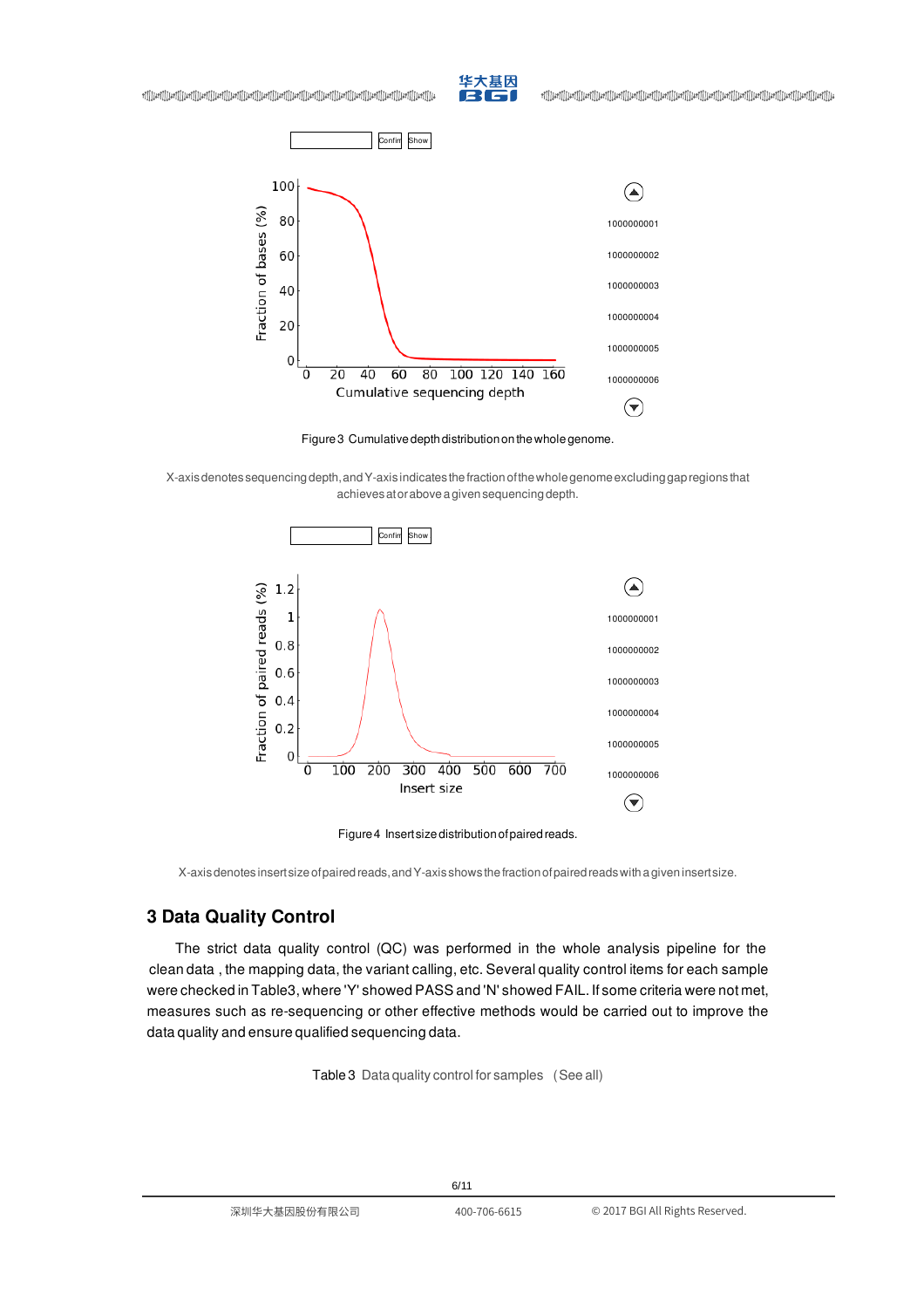

+][][Lief][[Lief][[Lief][[Lief][[Lief][[Lief][[Lief][[Lief][[Lief][[Lief][[Lief][[Lief][[Lief][[Lief][[Lief][[<br>|الجزا[|[Lief][[Lief][[Lief][[Lief][[Lief][[Lief][[Lief][[Lief][[Lief][[Lief][[Lief][[Lief][[Lief][[Lief]



Figure3 Cumulativedepthdistributiononthewholegenome.

<span id="page-5-1"></span>X-axisdenotes sequencingdepth,andY-axis indicates thefractionofthewholegenomeexcludinggapregions that achievesatoraboveagivensequencingdepth.





X-axis denotes insert size of paired reads, and Y-axis shows the fraction of paired reads with a given insert size.

# <span id="page-5-0"></span>**3 Data Quality Control**

<span id="page-5-2"></span>The strict data quality control (QC) was performed in the whole analysis pipeline for the clean data , the mapping data, the variant calling, etc. Several quality control items for each sample were checked in [Table3,](#page-5-2) where 'Y' showed PASS and 'N' showed FAIL. If some criteria were not met, measures such as re-sequencing or other effective methods would be carried out to improve the data quality and ensure qualified sequencing data.

Table 3 Data quality control for samples (See all)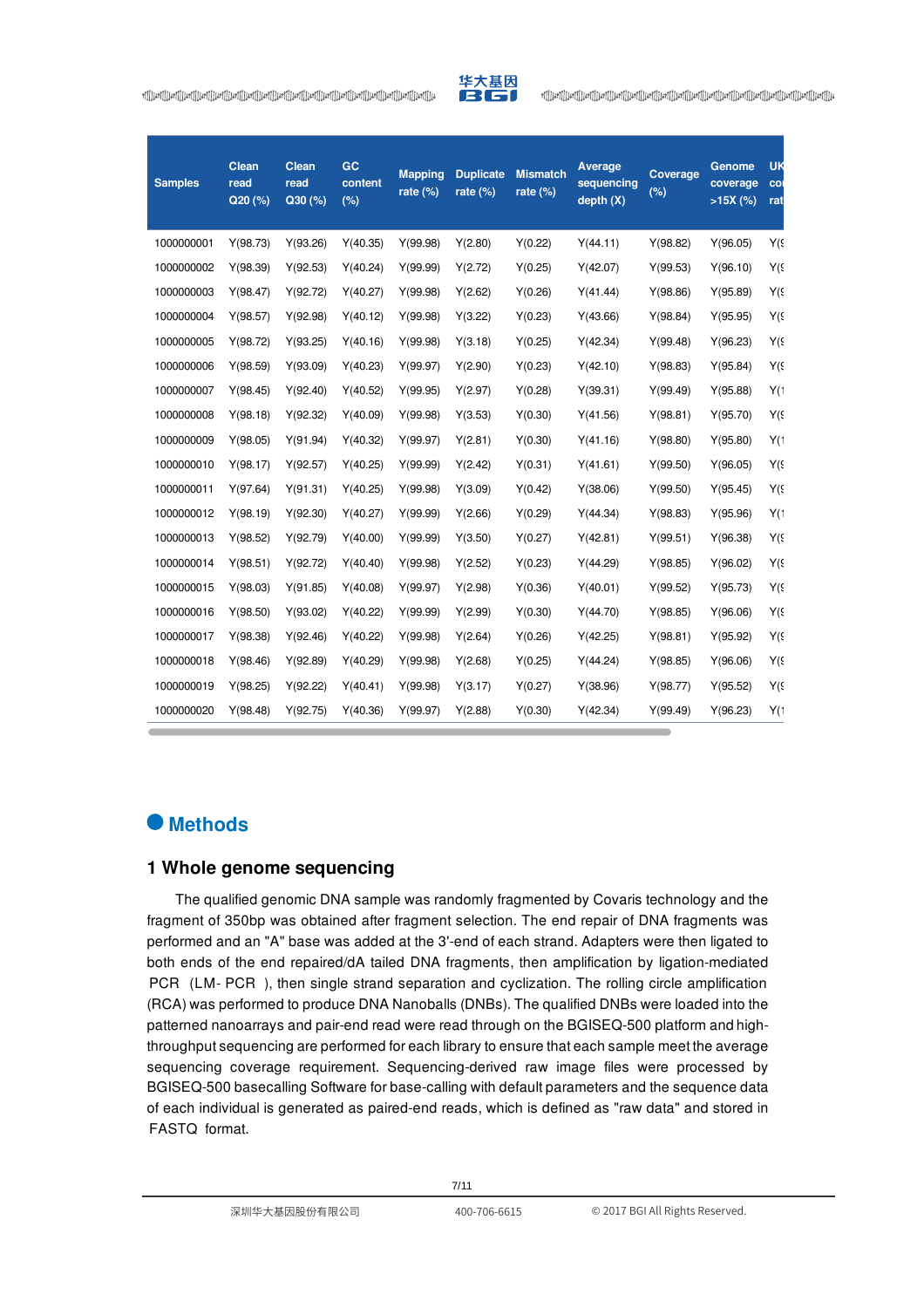

| <b>Samples</b> | <b>Clean</b><br>read<br>Q20(%) | <b>Clean</b><br>read<br>Q30(%) | GC<br>content<br>(% ) | <b>Mapping</b><br>rate $(\%)$ | <b>Duplicate</b><br>rate $(\%)$ | <b>Mismatch</b><br>rate $(\%)$ | Average<br>sequencing<br>depth(X) | Coverage<br>(%) | Genome<br>coverage<br>$>15X$ (%) | <b>UK</b><br>COI<br>rat |
|----------------|--------------------------------|--------------------------------|-----------------------|-------------------------------|---------------------------------|--------------------------------|-----------------------------------|-----------------|----------------------------------|-------------------------|
| 1000000001     | Y(98.73)                       | Y(93.26)                       | Y(40.35)              | Y(99.98)                      | Y(2.80)                         | Y(0.22)                        | Y(44.11)                          | Y(98.82)        | Y(96.05)                         | $Y(\xi)$                |
| 1000000002     | Y(98.39)                       | Y(92.53)                       | Y(40.24)              | Y(99.99)                      | Y(2.72)                         | Y(0.25)                        | Y(42.07)                          | Y(99.53)        | Y(96.10)                         | $Y(\xi)$                |
| 1000000003     | Y(98.47)                       | Y(92.72)                       | Y(40.27)              | Y(99.98)                      | Y(2.62)                         | Y(0.26)                        | Y(41.44)                          | Y(98.86)        | Y(95.89)                         | $Y(\xi)$                |
| 1000000004     | Y(98.57)                       | Y(92.98)                       | Y(40.12)              | Y(99.98)                      | Y(3.22)                         | Y(0.23)                        | Y(43.66)                          | Y(98.84)        | Y(95.95)                         | $Y(\xi)$                |
| 1000000005     | Y(98.72)                       | Y(93.25)                       | Y(40.16)              | Y(99.98)                      | Y(3.18)                         | Y(0.25)                        | Y(42.34)                          | Y(99.48)        | Y(96.23)                         | $Y(\xi)$                |
| 1000000006     | Y(98.59)                       | Y(93.09)                       | Y(40.23)              | Y(99.97)                      | Y(2.90)                         | Y(0.23)                        | Y(42.10)                          | Y(98.83)        | Y(95.84)                         | $Y(\xi)$                |
| 1000000007     | Y(98.45)                       | Y(92.40)                       | Y(40.52)              | Y(99.95)                      | Y(2.97)                         | Y(0.28)                        | Y(39.31)                          | Y(99.49)        | Y(95.88)                         | Y(1)                    |
| 1000000008     | Y(98.18)                       | Y(92.32)                       | Y(40.09)              | Y(99.98)                      | Y(3.53)                         | Y(0.30)                        | Y(41.56)                          | Y(98.81)        | Y(95.70)                         | $Y(\xi)$                |
| 1000000009     | Y(98.05)                       | Y(91.94)                       | Y(40.32)              | Y(99.97)                      | Y(2.81)                         | Y(0.30)                        | Y(41.16)                          | Y(98.80)        | Y(95.80)                         | Y(1)                    |
| 1000000010     | Y(98.17)                       | Y(92.57)                       | Y(40.25)              | Y(99.99)                      | Y(2.42)                         | Y(0.31)                        | Y(41.61)                          | Y(99.50)        | Y(96.05)                         | $Y(\xi)$                |
| 1000000011     | Y(97.64)                       | Y(91.31)                       | Y(40.25)              | Y(99.98)                      | Y(3.09)                         | Y(0.42)                        | Y(38.06)                          | Y(99.50)        | Y(95.45)                         | $Y(\xi)$                |
| 1000000012     | Y(98.19)                       | Y(92.30)                       | Y(40.27)              | Y(99.99)                      | Y(2.66)                         | Y(0.29)                        | Y(44.34)                          | Y(98.83)        | Y(95.96)                         | Y(1)                    |
| 1000000013     | Y(98.52)                       | Y(92.79)                       | Y(40.00)              | Y(99.99)                      | Y(3.50)                         | Y(0.27)                        | Y(42.81)                          | Y(99.51)        | Y(96.38)                         | $Y(\xi)$                |
| 1000000014     | Y(98.51)                       | Y(92.72)                       | Y(40.40)              | Y(99.98)                      | Y(2.52)                         | Y(0.23)                        | Y(44.29)                          | Y(98.85)        | Y(96.02)                         | $Y(\xi)$                |
| 1000000015     | Y(98.03)                       | Y(91.85)                       | Y(40.08)              | Y(99.97)                      | Y(2.98)                         | Y(0.36)                        | Y(40.01)                          | Y(99.52)        | Y(95.73)                         | $Y(\xi)$                |
| 1000000016     | Y(98.50)                       | Y(93.02)                       | Y(40.22)              | Y(99.99)                      | Y(2.99)                         | Y(0.30)                        | Y(44.70)                          | Y(98.85)        | Y(96.06)                         | $Y(\xi)$                |
| 1000000017     | Y(98.38)                       | Y(92.46)                       | Y(40.22)              | Y(99.98)                      | Y(2.64)                         | Y(0.26)                        | Y(42.25)                          | Y(98.81)        | Y(95.92)                         | $Y(\xi)$                |
| 1000000018     | Y(98.46)                       | Y(92.89)                       | Y(40.29)              | Y(99.98)                      | Y(2.68)                         | Y(0.25)                        | Y(44.24)                          | Y(98.85)        | Y(96.06)                         | Y(s                     |
| 1000000019     | Y(98.25)                       | Y(92.22)                       | Y(40.41)              | Y(99.98)                      | Y(3.17)                         | Y(0.27)                        | Y(38.96)                          | Y(98.77)        | Y(95.52)                         | Y(s                     |
| 1000000020     | Y(98.48)                       | Y(92.75)                       | Y(40.36)              | Y(99.97)                      | Y(2.88)                         | Y(0.30)                        | Y(42.34)                          | Y(99.49)        | Y(96.23)                         | Y(1)                    |

# <span id="page-6-0"></span>**Methods**

#### <span id="page-6-1"></span>**1 Whole genome sequencing**

The qualified genomic DNA sample was randomly fragmented by Covaris technology and the fragment of 350bp was obtained after fragment selection. The end repair of DNA fragments was performed and an "A" base was added at the 3'-end of each strand. Adapters were then ligated to both ends of the end repaired/dA tailed DNA fragments, then amplification by ligation-mediated PCR (LM- PCR), then single strand separation and cyclization. The rolling circle amplification (RCA) was performed to produce DNA Nanoballs (DNBs). The qualified DNBs were loaded into the patterned nanoarrays and pair-end read were read through on the BGISEQ-500 platform and highthroughput sequencing are performed for each library to ensure that each sample meet the average sequencing coverage requirement. Sequencing-derived raw image files were processed by BGISEQ-500 basecalling Software for base-calling with default parameters and the sequence data of each individual is generated as paired-end reads, which is defined as "raw data" and stored in FASTQ format.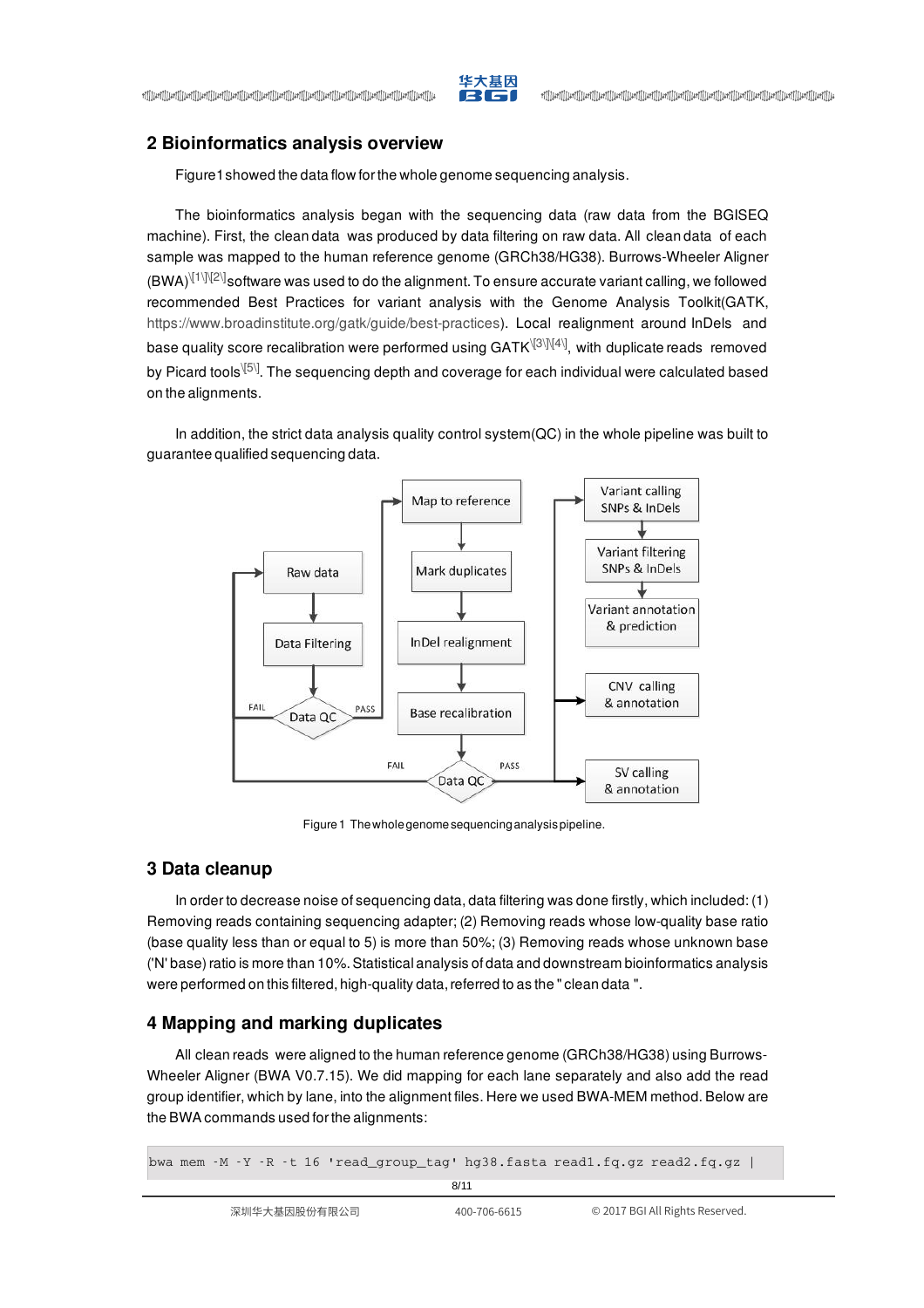

# <span id="page-7-0"></span>**2 Bioinformatics analysis overview**

[Figure1](#page-2-3)showed the data flow forthe whole genome sequencing analysis.

The bioinformatics analysis began with the sequencing data (raw data from the BGISEQ machine). First, the clean data was produced by data filtering on raw data. All clean data of each sample was mapped to the human reference genome (GRCh38/HG38). Burrows-Wheeler Aligner  $(BWA)^{[1]\,[2]\]}$ software was used to do the alignment. To ensure accurate variant calling, we followed recommended Best Practices for variant analysis with the Genome Analysis Toolkit(GATK, https://www.broadinstitute.org/gatk/guide/best-practices). Local realignment around InDels and base quality score recalibration were performed using GATK $^{\backslash\mathrm{[3]}\backslash\mathrm{[4]}}$ , with duplicate reads removed by Picard tools $^{\backslash\text{[5]}}$ . The sequencing depth and coverage for each individual were calculated based on the alignments.

In addition, the strict data analysis quality control system(QC) in the whole pipeline was built to guarantee qualified sequencing data.



Figure 1 The whole genome sequencing analysis pipeline.

### <span id="page-7-1"></span>**3 Data cleanup**

In order to decrease noise of sequencing data, data filtering was done firstly, which included: (1) Removing reads containing sequencing adapter; (2) Removing reads whose low-quality base ratio (base quality less than or equal to 5) is more than 50%; (3) Removing reads whose unknown base ('N' base)ratio is more than 10%.Statistical analysis of data and downstream bioinformatics analysis were performed on this filtered, high-quality data, referred to as the " clean data ".

### <span id="page-7-2"></span>**4 Mapping and marking duplicates**

All clean reads were aligned to the human reference genome (GRCh38/HG38) using Burrows-Wheeler Aligner (BWA V0.7.15). We did mapping for each lane separately and also add the read group identifier, which by lane, into the alignment files. Here we used BWA-MEM method. Below are the BWA commands used forthe alignments:

bwa mem  $-M -Y -R -t 16$  'read\_group\_tag' hg38.fasta read1.fg.gz read2.fg.gz |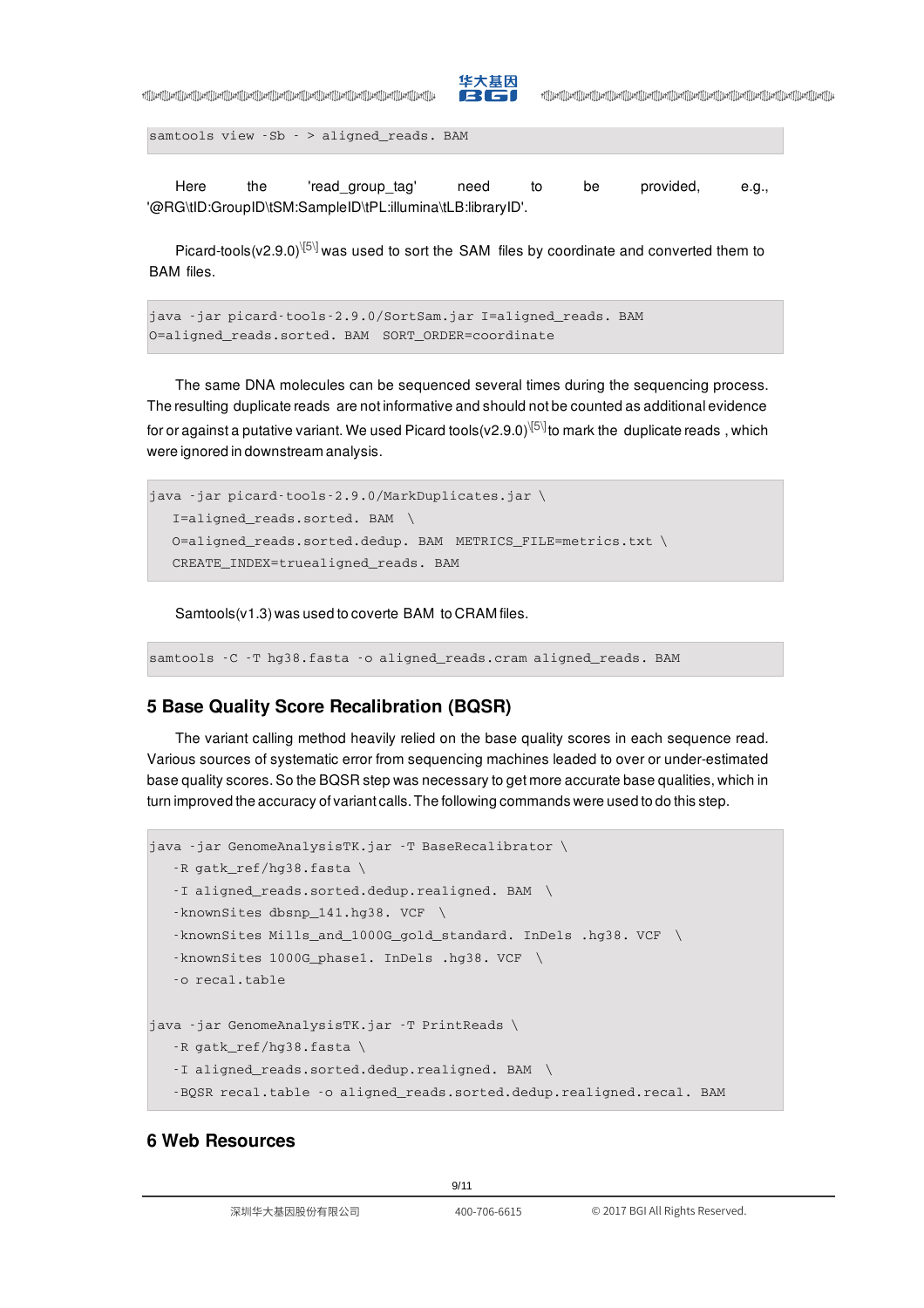

+][][Lief][[Lief][[Lief][[Lief][[Lief][[Lief][[Lief][[Lief][[Lief][[Lief][[Lief][[Lief][[Lief][[Lief][[Lief][[<br>|الجزا[|[Lief][[Lief][[Lief][[Lief][[Lief][[Lief][[Lief][[Lief][[Lief][[Lief][[Lief][[Lief][[Lief][[Lief]

```
samtools view -Sb - > aligned_reads. BAM
```
Here the 'read\_group\_tag' need to be provided, e.g., '@RG\tID:GroupID\tSM:SampleID\tPL:illumina\tLB:libraryID'.

Picard-tools(v2.9.0) $\sqrt{5\}$  was used to sort the SAM files by coordinate and converted them to BAM files.

```
java -jar picard-tools-2.9.0/SortSam.jar I=aligned_reads. BAM
O=aligned_reads.sorted. BAM SORT_ORDER=coordinate
```
The same DNA molecules can be sequenced several times during the sequencing process. The resulting duplicate reads are not informative and should not be counted as additional evidence for or against a putative variant. We used Picard tools(v2.9.0) $^{\setminus\{5\}}$ to mark the  $\,$  duplicate reads , which were ignored in downstream analysis.

```
java -jar picard-tools-2.9.0/MarkDuplicates.jar \
  I=aligned_reads.sorted. BAM \
  O=aligned reads.sorted.dedup. BAM METRICS FILE=metrics.txt \
  CREATE_INDEX=truealigned_reads. BAM
```
Samtools(v1.3) was used to coverte BAM to CRAM files.

```
samtools -C -T hg38.fasta -o aligned_reads.cram aligned_reads. BAM
```
# <span id="page-8-0"></span>**5 Base Quality Score Recalibration (BQSR)**

The variant calling method heavily relied on the base quality scores in each sequence read. Various sources of systematic error from sequencing machines leaded to over or under-estimated base quality scores. So the BQSR step was necessary to get more accurate base qualities, which in turn improved the accuracy of variant calls. The following commands were used to do this step.

```
java -jar GenomeAnalysisTK.jar -T BaseRecalibrator \
   -R gatk_ref/hg38.fasta \
   -I aligned_reads.sorted.dedup.realigned. BAM \
   -knownSites dbsnp_141.hg38. VCF \
   -knownSites Mills_and_1000G_gold_standard. InDels .hg38. VCF \
   -knownSites 1000G_phase1. InDels .hg38. VCF \
   -o recal.table
java -jar GenomeAnalysisTK.jar -T PrintReads \
   -R gatk_ref/hg38.fasta \
   -I aligned_reads.sorted.dedup.realigned. BAM \
   -BQSR recal.table -o aligned_reads.sorted.dedup.realigned.recal. BAM
```
# <span id="page-8-1"></span>**6 Web Resources**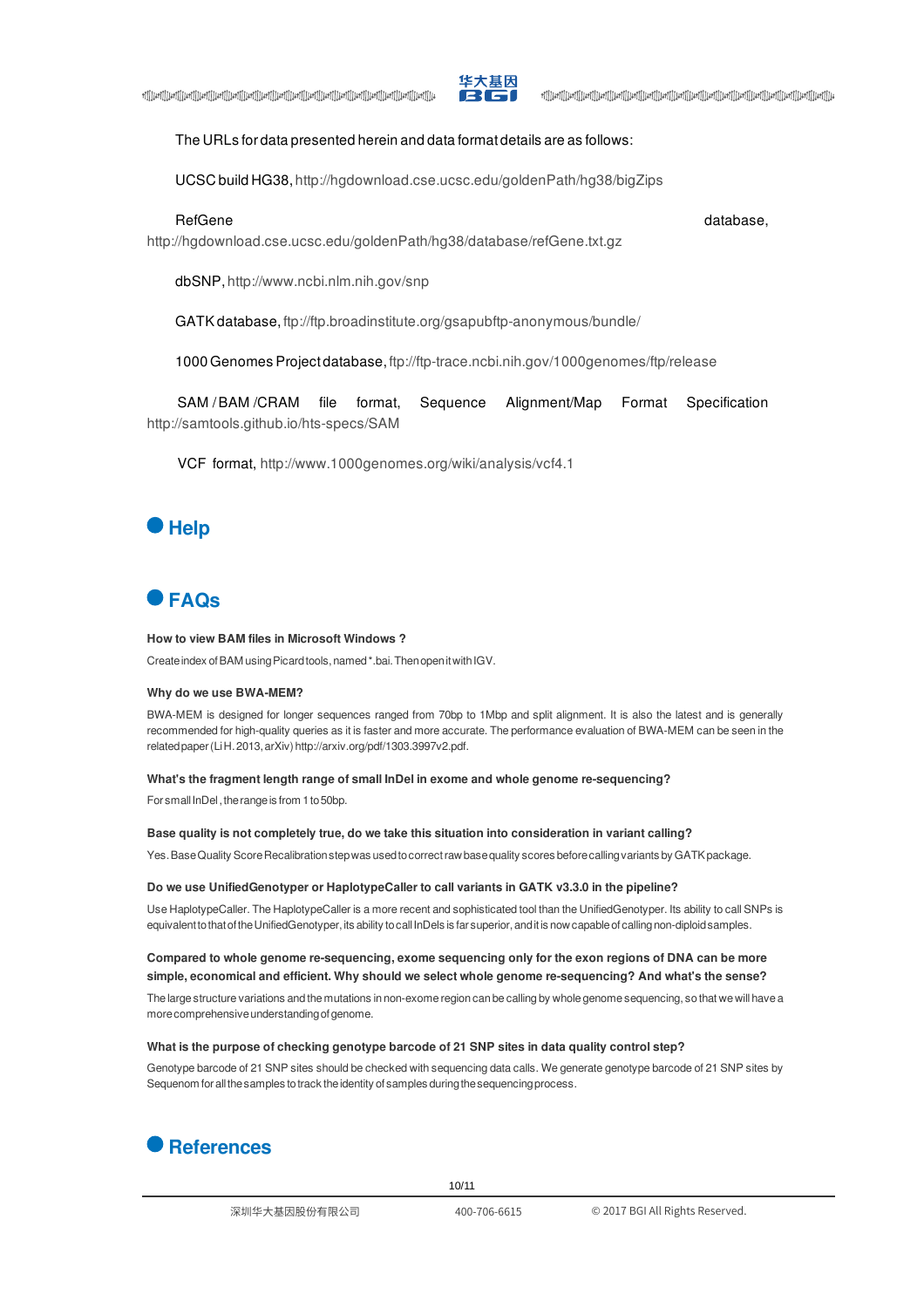

#### The URLs for data presented herein and data format details are as follows:

UCSC build HG38, http://hgdownload.cse.ucsc.edu/goldenPath/hg38/bigZips

RefGene database,

+][][Lief][[Lief][[Lief][[Lief][[Lief][[Lief][[Lief][[Lief][[Lief][[Lief][[Lief][[Lief][[Lief][[Lief][[Lief][[<br>|الجزا[|[Lief][[Lief][[Lief][[Lief][[Lief][[Lief][[Lief][[Lief][[Lief][[Lief][[Lief][[Lief][[Lief][[Lief]

http://hgdownload.cse.ucsc.edu/goldenPath/hg38/database/refGene.txt.gz

dbSNP, http://www.ncbi.nlm.nih.gov/snp

GATK database, ftp://ftp.broadinstitute.org/gsapubftp-anonymous/bundle/

1000 Genomes Project database, ftp://ftp-trace.ncbi.nih.gov/1000genomes/ftp/release

SAM /BAM /CRAM file format, Sequence Alignment/Map Format Specification http://samtools.github.io/hts-specs/SAM

VCF format, http://www.1000genomes.org/wiki/analysis/vcf4.1

# <span id="page-9-0"></span>**Help**

# <span id="page-9-1"></span>**FAQs**

#### **How to view BAM files in Microsoft Windows ?**

Create index of BAM using Picard tools, named \*.bai. Then open it with IGV.

#### **Why do we use BWA-MEM?**

BWA-MEM is designed for longer sequences ranged from 70bp to 1Mbp and split alignment. It is also the latest and is generally recommended for high-quality queries as it is faster and more accurate. The performance evaluation of BWA-MEM can be seen in the relatedpaper(LiH.2013,arXiv)http://arxiv.org/pdf/1303.3997v2.pdf.

#### **What's the fragment length range of small InDel in exome and whole genome re-sequencing?**

For small InDel, the range is from 1 to 50bp.

#### **Base quality is not completely true, do we take this situation into consideration in variant calling?**

Yes. Base Quality Score Recalibration stepwas used to correct raw base quality scores before calling variants by GATK package.

#### **Do we use UnifiedGenotyper or HaplotypeCaller to call variants in GATK v3.3.0 in the pipeline?**

Use HaplotypeCaller. The HaplotypeCaller is a more recent and sophisticated tool than the UnifiedGenotyper. Its ability to call SNPs is equivalent to that of the UnifiedGenotyper, its ability to call InDels is far superior, and it is now capable of calling non-diploid samples.

#### **Compared to whole genome re-sequencing, exome sequencing only for the exon regions of DNA can be more simple, economical and efficient. Why should we select whole genome re-sequencing? And what's the sense?**

The large structure variations and the mutations in non-exome region can be calling by whole genome sequencing, so that we will have a more comprehensive understanding of genome.

#### **What is the purpose of checking genotype barcode of 21 SNP sites in data quality control step?**

Genotype barcode of 21 SNP sites should be checked with sequencing data calls. We generate genotype barcode of 21 SNP sites by Sequenom for all the samples to track the identity of samples during the sequencing process.

<span id="page-9-2"></span>